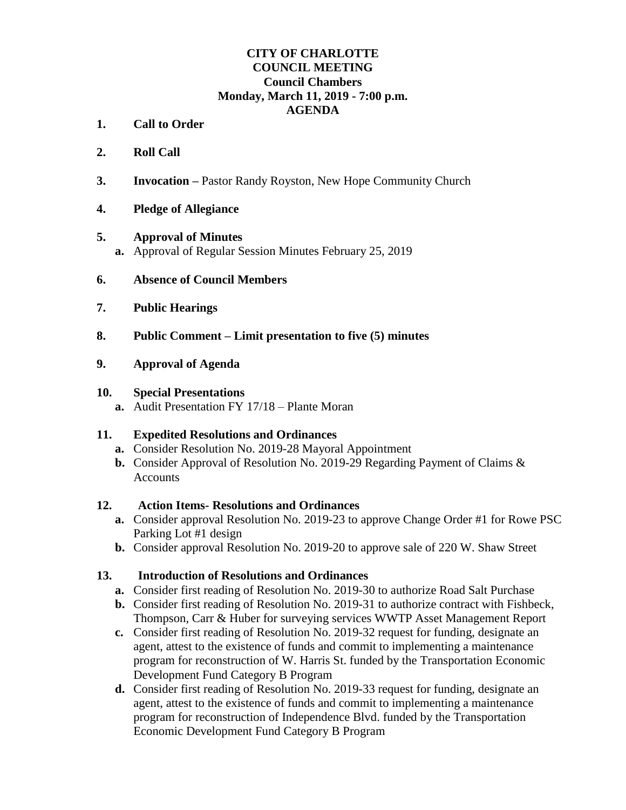#### **CITY OF CHARLOTTE COUNCIL MEETING Council Chambers Monday, March 11, 2019 - 7:00 p.m. AGENDA**

- **1. Call to Order**
- **2. Roll Call**
- **3. Invocation –** Pastor Randy Royston, New Hope Community Church
- **4. Pledge of Allegiance**

## **5. Approval of Minutes**

- **a.** Approval of Regular Session Minutes February 25, 2019
- **6. Absence of Council Members**
- **7. Public Hearings**
- **8. Public Comment – Limit presentation to five (5) minutes**
- **9. Approval of Agenda**

#### **10. Special Presentations**

**a.** Audit Presentation FY 17/18 – Plante Moran

# **11. Expedited Resolutions and Ordinances**

- **a.** Consider Resolution No. 2019-28 Mayoral Appointment
- **b.** Consider Approval of Resolution No. 2019-29 Regarding Payment of Claims & Accounts

#### **12. Action Items- Resolutions and Ordinances**

- **a.** Consider approval Resolution No. 2019-23 to approve Change Order #1 for Rowe PSC Parking Lot #1 design
- **b.** Consider approval Resolution No. 2019-20 to approve sale of 220 W. Shaw Street

# **13. Introduction of Resolutions and Ordinances**

- **a.** Consider first reading of Resolution No. 2019-30 to authorize Road Salt Purchase
- **b.** Consider first reading of Resolution No. 2019-31 to authorize contract with Fishbeck, Thompson, Carr & Huber for surveying services WWTP Asset Management Report
- **c.** Consider first reading of Resolution No. 2019-32 request for funding, designate an agent, attest to the existence of funds and commit to implementing a maintenance program for reconstruction of W. Harris St. funded by the Transportation Economic Development Fund Category B Program
- **d.** Consider first reading of Resolution No. 2019-33 request for funding, designate an agent, attest to the existence of funds and commit to implementing a maintenance program for reconstruction of Independence Blvd. funded by the Transportation Economic Development Fund Category B Program